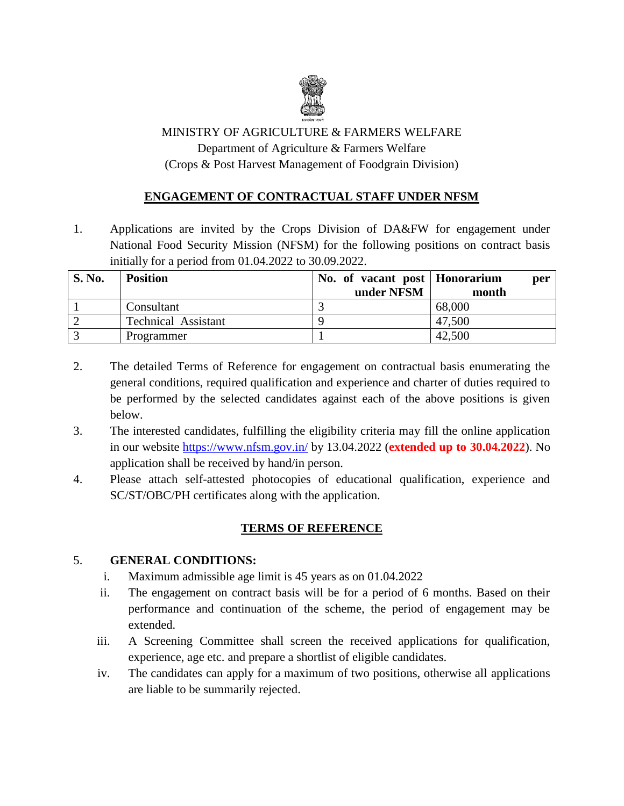

# MINISTRY OF AGRICULTURE & FARMERS WELFARE Department of Agriculture & Farmers Welfare (Crops & Post Harvest Management of Foodgrain Division)

## **ENGAGEMENT OF CONTRACTUAL STAFF UNDER NFSM**

1. Applications are invited by the Crops Division of DA&FW for engagement under National Food Security Mission (NFSM) for the following positions on contract basis initially for a period from 01.04.2022 to 30.09.2022.

| <b>S. No.</b> | <b>Position</b>            | No. of vacant post   Honorarium<br>under NFSM | per<br>month |
|---------------|----------------------------|-----------------------------------------------|--------------|
|               | Consultant                 |                                               | 68,000       |
|               | <b>Technical Assistant</b> |                                               | 47,500       |
|               | Programmer                 |                                               | 42,500       |

- 2. The detailed Terms of Reference for engagement on contractual basis enumerating the general conditions, required qualification and experience and charter of duties required to be performed by the selected candidates against each of the above positions is given below.
- 3. The interested candidates, fulfilling the eligibility criteria may fill the online application in our website<https://www.nfsm.gov.in/> by 13.04.2022 (**extended up to 30.04.2022**). No application shall be received by hand/in person.
- 4. Please attach self-attested photocopies of educational qualification, experience and SC/ST/OBC/PH certificates along with the application.

#### **TERMS OF REFERENCE**

#### 5. **GENERAL CONDITIONS:**

- i. Maximum admissible age limit is 45 years as on 01.04.2022
- ii. The engagement on contract basis will be for a period of 6 months. Based on their performance and continuation of the scheme, the period of engagement may be extended.
- iii. A Screening Committee shall screen the received applications for qualification, experience, age etc. and prepare a shortlist of eligible candidates.
- iv. The candidates can apply for a maximum of two positions, otherwise all applications are liable to be summarily rejected.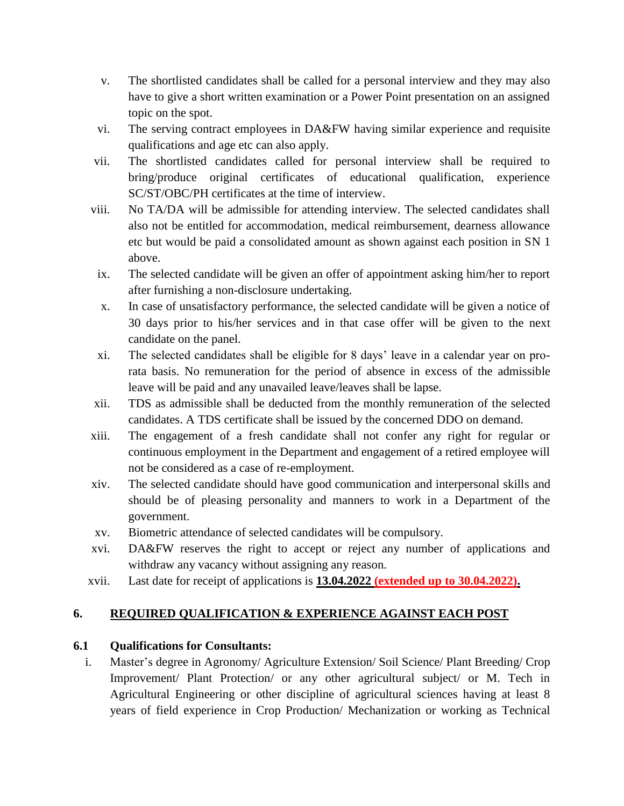- v. The shortlisted candidates shall be called for a personal interview and they may also have to give a short written examination or a Power Point presentation on an assigned topic on the spot.
- vi. The serving contract employees in DA&FW having similar experience and requisite qualifications and age etc can also apply.
- vii. The shortlisted candidates called for personal interview shall be required to bring/produce original certificates of educational qualification, experience SC/ST/OBC/PH certificates at the time of interview.
- viii. No TA/DA will be admissible for attending interview. The selected candidates shall also not be entitled for accommodation, medical reimbursement, dearness allowance etc but would be paid a consolidated amount as shown against each position in SN 1 above.
- ix. The selected candidate will be given an offer of appointment asking him/her to report after furnishing a non-disclosure undertaking.
- x. In case of unsatisfactory performance, the selected candidate will be given a notice of 30 days prior to his/her services and in that case offer will be given to the next candidate on the panel.
- xi. The selected candidates shall be eligible for 8 days' leave in a calendar year on prorata basis. No remuneration for the period of absence in excess of the admissible leave will be paid and any unavailed leave/leaves shall be lapse.
- xii. TDS as admissible shall be deducted from the monthly remuneration of the selected candidates. A TDS certificate shall be issued by the concerned DDO on demand.
- xiii. The engagement of a fresh candidate shall not confer any right for regular or continuous employment in the Department and engagement of a retired employee will not be considered as a case of re-employment.
- xiv. The selected candidate should have good communication and interpersonal skills and should be of pleasing personality and manners to work in a Department of the government.
- xv. Biometric attendance of selected candidates will be compulsory.
- xvi. DA&FW reserves the right to accept or reject any number of applications and withdraw any vacancy without assigning any reason.
- xvii. Last date for receipt of applications is **13.04.2022 (extended up to 30.04.2022).**

# **6. REQUIRED QUALIFICATION & EXPERIENCE AGAINST EACH POST**

# **6.1 Qualifications for Consultants:**

i. Master's degree in Agronomy/ Agriculture Extension/ Soil Science/ Plant Breeding/ Crop Improvement/ Plant Protection/ or any other agricultural subject/ or M. Tech in Agricultural Engineering or other discipline of agricultural sciences having at least 8 years of field experience in Crop Production/ Mechanization or working as Technical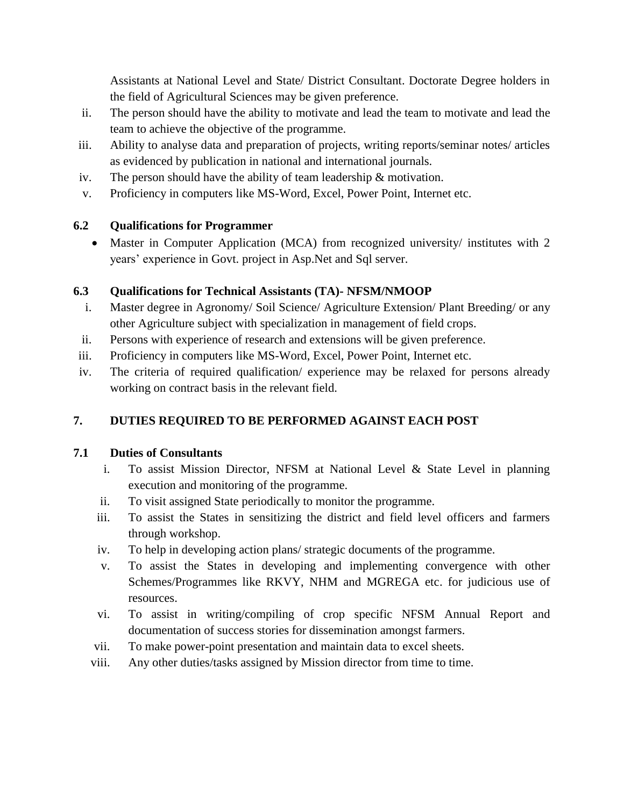Assistants at National Level and State/ District Consultant. Doctorate Degree holders in the field of Agricultural Sciences may be given preference.

- ii. The person should have the ability to motivate and lead the team to motivate and lead the team to achieve the objective of the programme.
- iii. Ability to analyse data and preparation of projects, writing reports/seminar notes/ articles as evidenced by publication in national and international journals.
- iv. The person should have the ability of team leadership & motivation.
- v. Proficiency in computers like MS-Word, Excel, Power Point, Internet etc.

## **6.2 Qualifications for Programmer**

• Master in Computer Application (MCA) from recognized university/ institutes with 2 years' experience in Govt. project in Asp.Net and Sql server.

## **6.3 Qualifications for Technical Assistants (TA)- NFSM/NMOOP**

- i. Master degree in Agronomy/ Soil Science/ Agriculture Extension/ Plant Breeding/ or any other Agriculture subject with specialization in management of field crops.
- ii. Persons with experience of research and extensions will be given preference.
- iii. Proficiency in computers like MS-Word, Excel, Power Point, Internet etc.
- iv. The criteria of required qualification/ experience may be relaxed for persons already working on contract basis in the relevant field.

# **7. DUTIES REQUIRED TO BE PERFORMED AGAINST EACH POST**

#### **7.1 Duties of Consultants**

- i. To assist Mission Director, NFSM at National Level & State Level in planning execution and monitoring of the programme.
- ii. To visit assigned State periodically to monitor the programme.
- iii. To assist the States in sensitizing the district and field level officers and farmers through workshop.
- iv. To help in developing action plans/ strategic documents of the programme.
- v. To assist the States in developing and implementing convergence with other Schemes/Programmes like RKVY, NHM and MGREGA etc. for judicious use of resources.
- vi. To assist in writing/compiling of crop specific NFSM Annual Report and documentation of success stories for dissemination amongst farmers.
- vii. To make power-point presentation and maintain data to excel sheets.
- viii. Any other duties/tasks assigned by Mission director from time to time.